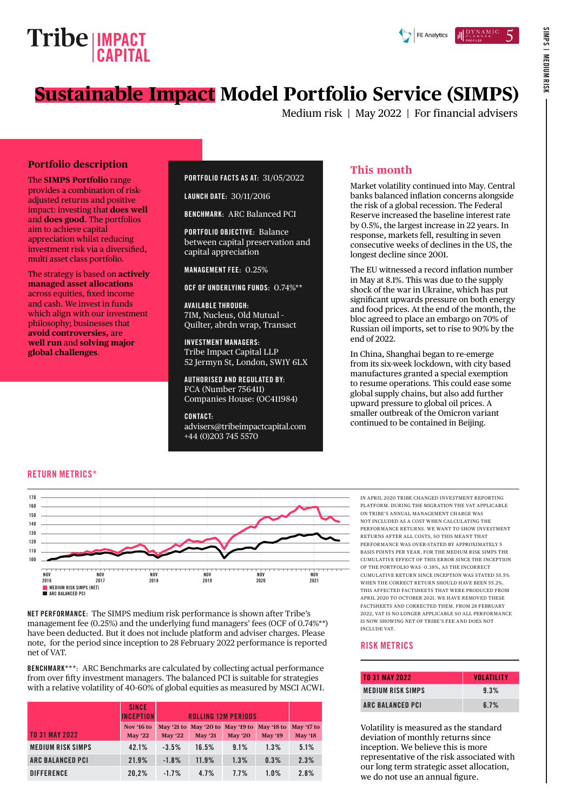

SIMPS | MEDIUM RISK

SIMPS | MEDIUM RISH

# **Sustainable Impact Model Portfolio Service (SIMPS)**

Medium risk | May 2022 | For financial advisers

#### **Portfolio description**

The **SIMPS Portfolio** range provides a combination of riskadjusted returns and positive impact: investing that **does well** and **does good**. The portfolios aim to achieve capital appreciation whilst reducing investment risk via a diversified, multi asset class portfolio.

The strategy is based on **actively managed asset allocations** across equities, fixed income and cash. We invest in funds which align with our investment philosophy; businesses that **avoid controversies,** are **well run** and **solving major global challenges**.

#### PORTFOLIO FACTS AS AT: 31/05/2022

LAUNCH DATE: 30/11/2016

BENCHMARK: ARC Balanced PCI

PORTFOLIO OBJECTIVE: Balance between capital preservation and capital appreciation

MANAGEMENT FEE: 0.25%

OCF OF UNDERLYING FUNDS: 0.74%\*\*

AVAILABLE THROUGH: 7IM, Nucleus, Old Mutual - Quilter, abrdn wrap, Transact

INVESTMENT MANAGERS: Tribe Impact Capital LLP 52 Jermyn St, London, SW1Y 6LX

AUTHORISED AND REGULATED BY: FCA (Number 756411) Companies House: (OC411984)

CONTACT: [advisers@tribeimpactcapital.com](mailto:advisers%40tribeimpactcapital.com?subject=) +44 (0)203 745 5570

### **This month**

Market volatility continued into May. Central banks balanced inflation concerns alongside the risk of a global recession. The Federal Reserve increased the baseline interest rate by 0.5%, the largest increase in 22 years. In response, markets fell, resulting in seven consecutive weeks of declines in the US, the longest decline since 2001.

The EU witnessed a record inflation number in May at 8.1%. This was due to the supply shock of the war in Ukraine, which has put significant upwards pressure on both energy and food prices. At the end of the month, the bloc agreed to place an embargo on 70% of Russian oil imports, set to rise to 90% by the end of 2022.

In China, Shanghai began to re-emerge from its six-week lockdown, with city based manufactures granted a special exemption to resume operations. This could ease some global supply chains, but also add further upward pressure to global oil prices. A smaller outbreak of the Omicron variant continued to be contained in Beijing.

#### RETURN METRICS\*



NET PERFORMANCE: The SIMPS medium risk performance is shown after Tribe's management fee (0.25%) and the underlying fund managers' fees (OCF of 0.74%\*\*) have been deducted. But it does not include platform and adviser charges. Please note, for the period since inception to 28 February 2022 performance is reported net of VAT.

BENCHMARK\*\*\*: ARC Benchmarks are calculated by collecting actual performance from over fifty investment managers. The balanced PCI is suitable for strategies with a relative volatility of 40-60% of global equities as measured by MSCI ACWI.

|                          | <b>SINCE</b><br><b>INCEPTION</b> | <b>ROLLING 12M PERIODS</b> |                                  |          |                |                |
|--------------------------|----------------------------------|----------------------------|----------------------------------|----------|----------------|----------------|
|                          | Nov '16 to                       |                            | May '21 to May '20 to May '19 to |          | May '18 to     | May '17 to     |
| <b>TO 31 MAY 2022</b>    | <b>May '22</b>                   | <b>May '22</b>             | <b>May '21</b>                   | May $20$ | <b>May '19</b> | <b>May '18</b> |
| <b>MEDIUM RISK SIMPS</b> | 42.1%                            | $-3.5%$                    | 16.5%                            | 9.1%     | 1.3%           | 5.1%           |
| <b>ARC BALANCED PCI</b>  | 21.9%                            | $-1.8%$                    | 11.9%                            | 1.3%     | 0.3%           | 2.3%           |
| <b>DIFFERENCE</b>        | 20.2%                            | $-1.7%$                    | 4.7%                             | 7.7%     | 1.0%           | 2.8%           |

IN APRIL 2020 TRIBE CHANGED INVESTMENT REPORTING PLATFORM. DURING THE MIGRATION THE VAT APPLICABLE ON TRIBE'S ANNUAL MANAGEMENT CHARGE WAS NOT INCLUDED AS A COST WHEN CALCULATING THE PERFORMANCE RETURNS. WE WANT TO SHOW INVESTMENT RETURNS AFTER ALL COSTS, SO THIS MEANT THAT PERFORMANCE WAS OVER-STATED BY APPROXIMATELY 5 BASIS POINTS PER YEAR. FOR THE MEDIUM RISK SIMPS THE CUMULATIVE EFFECT OF THIS ERROR SINCE THE INCEPTION OF THE PORTFOLIO WAS -0.38%, AS THE INCORRECT CUMULATIVE RETURN SINCE INCEPTION WAS STATED 55.5% WHEN THE CORRECT RETURN SHOULD HAVE BEEN 55.2%. THIS AFFECTED FACTSHEETS THAT WERE PRODUCED FROM APRIL 2020 TO OCTOBER 2021. WE HAVE REMOVED THESE FACTSHEETS AND CORRECTED THEM. FROM 28 FEBRUARY 2022, VAT IS NO LONGER APPLICABLE SO ALL PERFORMANCE IS NOW SHOWING NET OF TRIBE'S FEE AND DOES NOT INCLUDE VAT.

#### RISK METRICS

| <b>TO 31 MAY 2022</b>   | <b>VOLATILITY</b> |
|-------------------------|-------------------|
| MEDIUM RISK SIMPS       | 9.3%              |
| <b>ARC BALANCED PCI</b> | 6.7%              |

Volatility is measured as the standard deviation of monthly returns since inception. We believe this is more representative of the risk associated with our long term strategic asset allocation, we do not use an annual figure.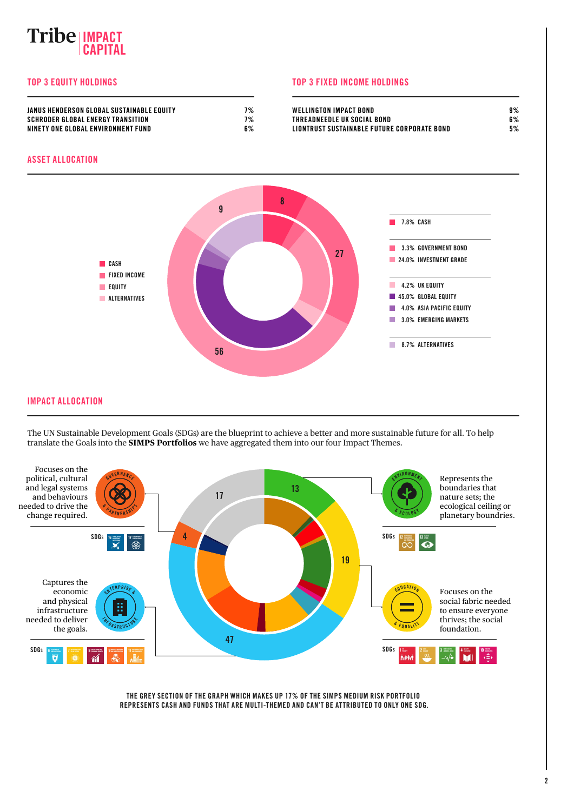# **IMPACT CAPITAL**

#### TOP 3 EQUITY HOLDINGS TOP 3 FIXED INCOME HOLDINGS

| JANUS HENDERSON GLOBAL SUSTAINABLE EQUITY | 70/<br>70 | <b>WELLINGTON IMPACT BOND</b>               | 9% |
|-------------------------------------------|-----------|---------------------------------------------|----|
| SCHRODER GLOBAL ENERGY TRANSITION         | 7%        | THREADNEEDLE UK SOCIAL BOND                 | 6% |
| NINETY ONE GLOBAL ENVIRONMENT FUND        | 6%        | LIONTRUST SUSTAINABLE FUTURE CORPORATE BOND | 5% |

#### ASSET ALLOCATION



#### IMPACT ALLOCATION

The UN Sustainable Development Goals (SDGs) are the blueprint to achieve a better and more sustainable future for all. To help translate the Goals into the **SIMPS Portfolios** we have aggregated them into our four Impact Themes.



THE GREY SECTION OF THE GRAPH WHICH MAKES UP 17% OF THE SIMPS MEDIUM RISK PORTFOLIO REPRESENTS CASH AND FUNDS THAT ARE MULTI-THEMED AND CAN'T BE ATTRIBUTED TO ONLY ONE SDG.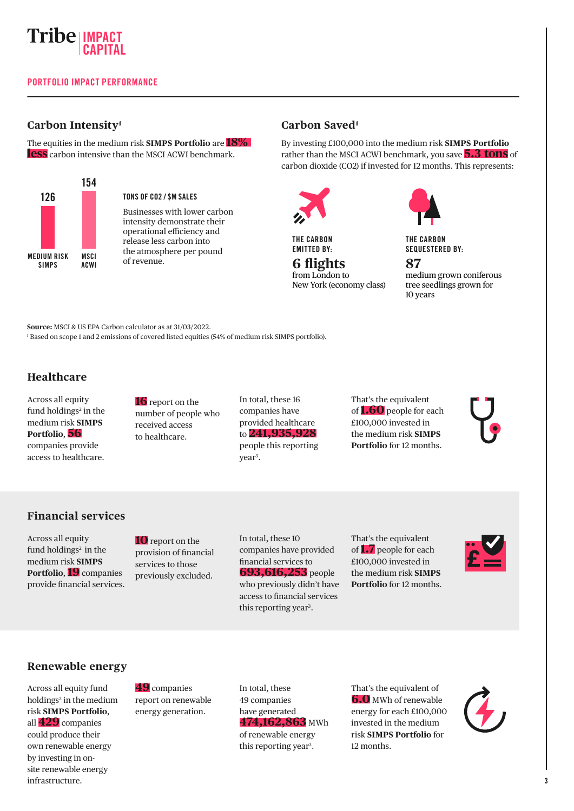

#### **Carbon Intensity1**

The equities in the medium risk **SIMPS Portfolio** are **18% less** carbon intensive than the MSCI ACWI benchmark.



#### TONS OF CO2 / \$M SALES

Businesses with lower carbon intensity demonstrate their operational efficiency and release less carbon into the atmosphere per pound of revenue.

#### **Carbon Saved1**

By investing £100,000 into the medium risk **SIMPS Portfolio** rather than the MSCI ACWI benchmark, you save **5.3 tons** of carbon dioxide (CO2) if invested for 12 months. This represents:



THE CARBON EMITTED BY:

**6 flights** from London to New York (economy class)

THE CARBON SEQUESTERED BY:

**87** medium grown coniferous tree seedlings grown for 10 years

**Source:** MSCI & US EPA Carbon calculator as at 31/03/2022.

1 Based on scope 1 and 2 emissions of covered listed equities (54% of medium risk SIMPS portfolio).

#### **Healthcare**

Across all equity fund holdings<sup>2</sup> in the medium risk **SIMPS Portfolio**, **56** companies provide access to healthcare.

**16** report on the number of people who received access to healthcare.

In total, these 16 companies have provided healthcare to **241,935,928** people this reporting year<sup>3</sup>.

That's the equivalent of **1.60** people for each £100,000 invested in the medium risk **SIMPS Portfolio** for 12 months.

#### **Financial services**

Across all equity fund holdings<sup>2</sup> in the medium risk **SIMPS Portfolio**, **19** companies provide financial services.

**10** report on the provision of financial services to those previously excluded.

In total, these 10 companies have provided financial services to **693,616,253** people who previously didn't have access to financial services this reporting year<sup>3</sup>.

That's the equivalent of **1.7** people for each £100,000 invested in the medium risk **SIMPS Portfolio** for 12 months.



#### **Renewable energy**

Across all equity fund holdings<sup>2</sup> in the medium risk **SIMPS Portfolio**, all **429** companies could produce their own renewable energy by investing in onsite renewable energy infrastructure.

**49** companies report on renewable energy generation.

In total, these 49 companies have generated **474,162,863** MWh of renewable energy this reporting year<sup>3</sup>.

That's the equivalent of **6.0** MWh of renewable energy for each £100,000 invested in the medium risk **SIMPS Portfolio** for 12 months.